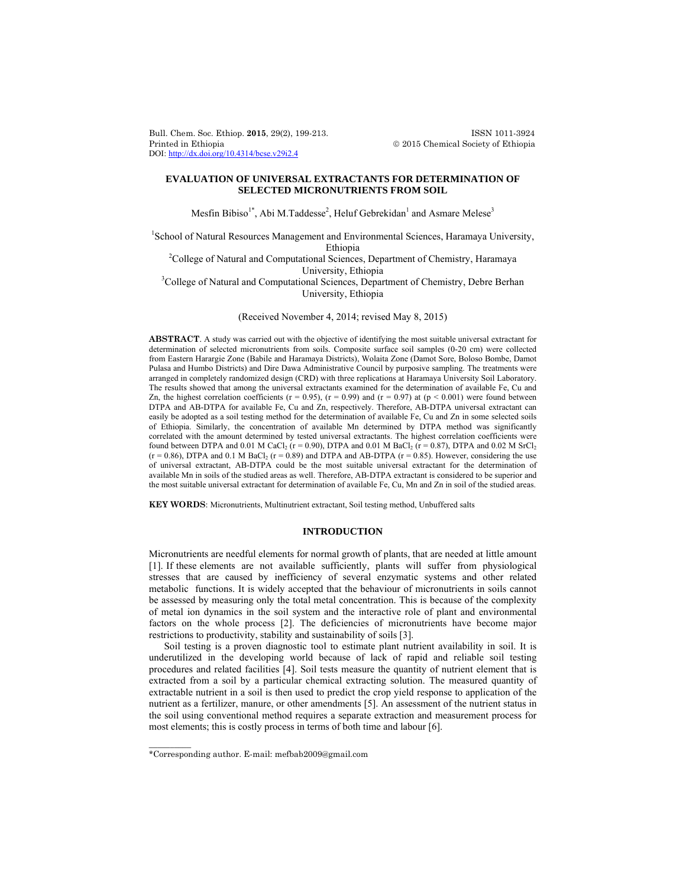Bull. Chem. Soc. Ethiop. **2015**, 29(2), 199-213. ISSN 1011-3924 Printed in Ethiopia 2015 Chemical Society of Ethiopia DOI: http://dx.doi.org/10.4314/bcse.v29i2.4

# **EVALUATION OF UNIVERSAL EXTRACTANTS FOR DETERMINATION OF SELECTED MICRONUTRIENTS FROM SOIL**

Mesfin Bibiso<sup>1\*</sup>, Abi M.Taddesse<sup>2</sup>, Heluf Gebrekidan<sup>1</sup> and Asmare Melese<sup>3</sup>

<sup>1</sup>School of Natural Resources Management and Environmental Sciences, Haramaya University, Ethiopia <sup>2</sup> College of Natural and Computational Sciences, Department of Chemistry, Haramaya

University, Ethiopia <sup>3</sup> College of Natural and Computational Sciences, Department of Chemistry, Debre Berhan University, Ethiopia

(Received November 4, 2014; revised May 8, 2015)

**ABSTRACT**. A study was carried out with the objective of identifying the most suitable universal extractant for determination of selected micronutrients from soils. Composite surface soil samples (0-20 cm) were collected from Eastern Harargie Zone (Babile and Haramaya Districts), Wolaita Zone (Damot Sore, Boloso Bombe, Damot Pulasa and Humbo Districts) and Dire Dawa Administrative Council by purposive sampling. The treatments were arranged in completely randomized design (CRD) with three replications at Haramaya University Soil Laboratory. The results showed that among the universal extractants examined for the determination of available Fe, Cu and Zn, the highest correlation coefficients ( $r = 0.95$ ), ( $r = 0.99$ ) and ( $r = 0.97$ ) at ( $p < 0.001$ ) were found between DTPA and AB-DTPA for available Fe, Cu and Zn, respectively. Therefore, AB-DTPA universal extractant can easily be adopted as a soil testing method for the determination of available Fe, Cu and Zn in some selected soils of Ethiopia. Similarly, the concentration of available Mn determined by DTPA method was significantly correlated with the amount determined by tested universal extractants. The highest correlation coefficients were found between DTPA and 0.01 M CaCl<sub>2</sub> ( $r = 0.90$ ), DTPA and 0.01 M BaCl<sub>2</sub> ( $r = 0.87$ ), DTPA and 0.02 M SrCl<sub>2</sub>  $(r = 0.86)$ , DTPA and 0.1 M BaCl<sub>2</sub> ( $r = 0.89$ ) and DTPA and AB-DTPA ( $r = 0.85$ ). However, considering the use of universal extractant, AB-DTPA could be the most suitable universal extractant for the determination of available Mn in soils of the studied areas as well. Therefore, AB-DTPA extractant is considered to be superior and the most suitable universal extractant for determination of available Fe, Cu, Mn and Zn in soil of the studied areas.

**KEY WORDS**: Micronutrients, Multinutrient extractant, Soil testing method, Unbuffered salts

### **INTRODUCTION**

Micronutrients are needful elements for normal growth of plants, that are needed at little amount [1]. If these elements are not available sufficiently, plants will suffer from physiological stresses that are caused by inefficiency of several enzymatic systems and other related metabolic functions. It is widely accepted that the behaviour of micronutrients in soils cannot be assessed by measuring only the total metal concentration. This is because of the complexity of metal ion dynamics in the soil system and the interactive role of plant and environmental factors on the whole process [2]. The deficiencies of micronutrients have become major restrictions to productivity, stability and sustainability of soils [3].

Soil testing is a proven diagnostic tool to estimate plant nutrient availability in soil. It is underutilized in the developing world because of lack of rapid and reliable soil testing procedures and related facilities [4]. Soil tests measure the quantity of nutrient element that is extracted from a soil by a particular chemical extracting solution. The measured quantity of extractable nutrient in a soil is then used to predict the crop yield response to application of the nutrient as a fertilizer, manure, or other amendments [5]. An assessment of the nutrient status in the soil using conventional method requires a separate extraction and measurement process for most elements; this is costly process in terms of both time and labour [6].

 $\overline{\phantom{a}}$ 

<sup>\*</sup>Corresponding author. E-mail: mefbab2009@gmail.com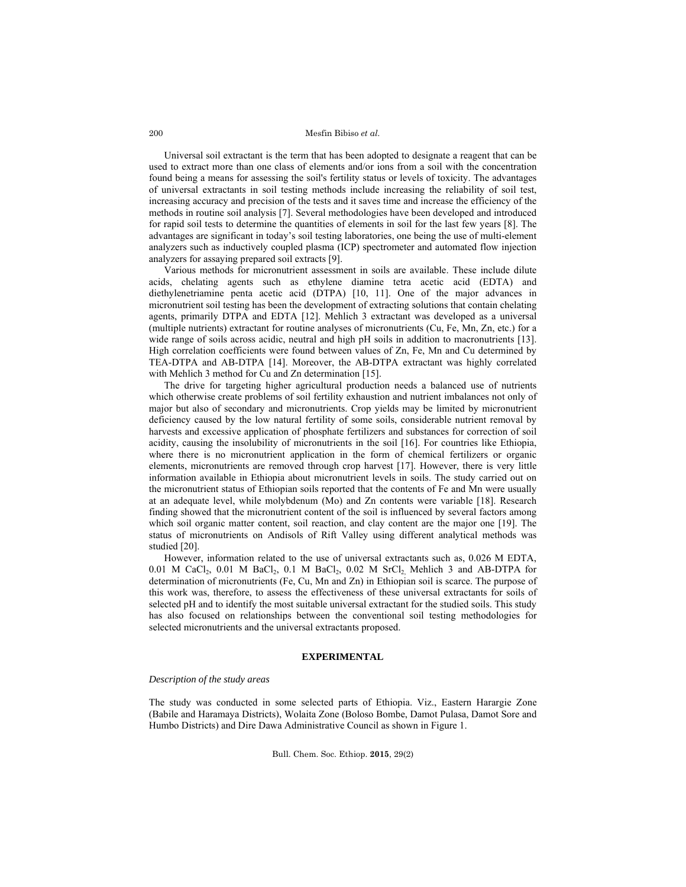Universal soil extractant is the term that has been adopted to designate a reagent that can be used to extract more than one class of elements and/or ions from a soil with the concentration found being a means for assessing the soil's fertility status or levels of toxicity. The advantages of universal extractants in soil testing methods include increasing the reliability of soil test, increasing accuracy and precision of the tests and it saves time and increase the efficiency of the methods in routine soil analysis [7]. Several methodologies have been developed and introduced for rapid soil tests to determine the quantities of elements in soil for the last few years [8]. The advantages are significant in today's soil testing laboratories, one being the use of multi-element analyzers such as inductively coupled plasma (ICP) spectrometer and automated flow injection analyzers for assaying prepared soil extracts [9].

Various methods for micronutrient assessment in soils are available. These include dilute acids, chelating agents such as ethylene diamine tetra acetic acid (EDTA) and diethylenetriamine penta acetic acid (DTPA) [10, 11]. One of the major advances in micronutrient soil testing has been the development of extracting solutions that contain chelating agents, primarily DTPA and EDTA [12]. Mehlich 3 extractant was developed as a universal (multiple nutrients) extractant for routine analyses of micronutrients (Cu, Fe, Mn, Zn, etc.) for a wide range of soils across acidic, neutral and high pH soils in addition to macronutrients [13]. High correlation coefficients were found between values of Zn, Fe, Mn and Cu determined by TEA-DTPA and AB-DTPA [14]. Moreover, the AB-DTPA extractant was highly correlated with Mehlich 3 method for Cu and Zn determination [15].

The drive for targeting higher agricultural production needs a balanced use of nutrients which otherwise create problems of soil fertility exhaustion and nutrient imbalances not only of major but also of secondary and micronutrients. Crop yields may be limited by micronutrient deficiency caused by the low natural fertility of some soils, considerable nutrient removal by harvests and excessive application of phosphate fertilizers and substances for correction of soil acidity, causing the insolubility of micronutrients in the soil [16]. For countries like Ethiopia, where there is no micronutrient application in the form of chemical fertilizers or organic elements, micronutrients are removed through crop harvest [17]. However, there is very little information available in Ethiopia about micronutrient levels in soils. The study carried out on the micronutrient status of Ethiopian soils reported that the contents of Fe and Mn were usually at an adequate level, while molybdenum (Mo) and Zn contents were variable [18]. Research finding showed that the micronutrient content of the soil is influenced by several factors among which soil organic matter content, soil reaction, and clay content are the major one [19]. The status of micronutrients on Andisols of Rift Valley using different analytical methods was studied [20].

However, information related to the use of universal extractants such as, 0.026 M EDTA, 0.01 M CaCl<sub>2</sub>, 0.01 M BaCl<sub>2</sub>, 0.1 M BaCl<sub>2</sub>, 0.02 M SrCl<sub>2</sub>, Mehlich 3 and AB-DTPA for determination of micronutrients (Fe, Cu, Mn and Zn) in Ethiopian soil is scarce. The purpose of this work was, therefore, to assess the effectiveness of these universal extractants for soils of selected pH and to identify the most suitable universal extractant for the studied soils. This study has also focused on relationships between the conventional soil testing methodologies for selected micronutrients and the universal extractants proposed.

## **EXPERIMENTAL**

#### *Description of the study areas*

The study was conducted in some selected parts of Ethiopia. Viz., Eastern Harargie Zone (Babile and Haramaya Districts), Wolaita Zone (Boloso Bombe, Damot Pulasa, Damot Sore and Humbo Districts) and Dire Dawa Administrative Council as shown in Figure 1.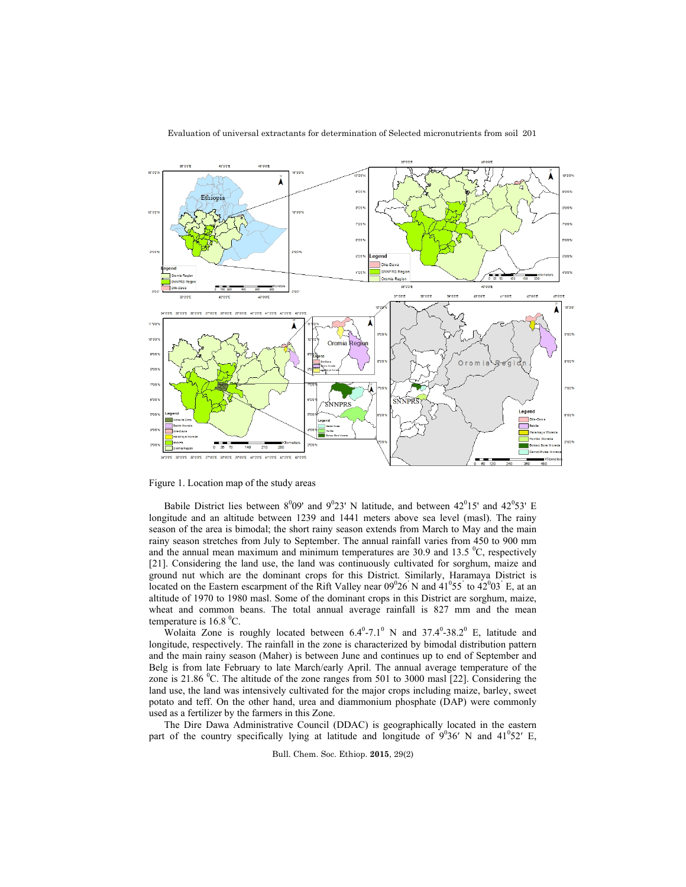

Figure 1. Location map of the study areas

Babile District lies between  $8^009'$  and  $9^023'$  N latitude, and between  $42^015'$  and  $42^053'$  E longitude and an altitude between 1239 and 1441 meters above sea level (masl). The rainy season of the area is bimodal; the short rainy season extends from March to May and the main rainy season stretches from July to September. The annual rainfall varies from 450 to 900 mm and the annual mean maximum and minimum temperatures are  $30.9$  and  $13.5 \degree$ C, respectively [21]. Considering the land use, the land was continuously cultivated for sorghum, maize and ground nut which are the dominant crops for this District. Similarly, Haramaya District is located on the Eastern escarpment of the Rift Valley near  $09^{\circ}26$  N and  $41^{\circ}55$  to  $42^{\circ}03$  E, at an altitude of 1970 to 1980 masl. Some of the dominant crops in this District are sorghum, maize, wheat and common beans. The total annual average rainfall is 827 mm and the mean temperature is  $16.8 \degree$ C.

Wolaita Zone is roughly located between  $6.4^{\circ}$ -7.1<sup>0</sup> N and 37.4<sup>0</sup>-38.2<sup>0</sup> E, latitude and longitude, respectively. The rainfall in the zone is characterized by bimodal distribution pattern and the main rainy season (Maher) is between June and continues up to end of September and Belg is from late February to late March/early April. The annual average temperature of the zone is 21.86 <sup>0</sup>C. The altitude of the zone ranges from 501 to 3000 masl  $[22]$ . Considering the land use, the land was intensively cultivated for the major crops including maize, barley, sweet potato and teff. On the other hand, urea and diammonium phosphate (DAP) were commonly used as a fertilizer by the farmers in this Zone.

 The Dire Dawa Administrative Council (DDAC) is geographically located in the eastern part of the country specifically lying at latitude and longitude of  $9^036'$  N and  $41^052'$  E,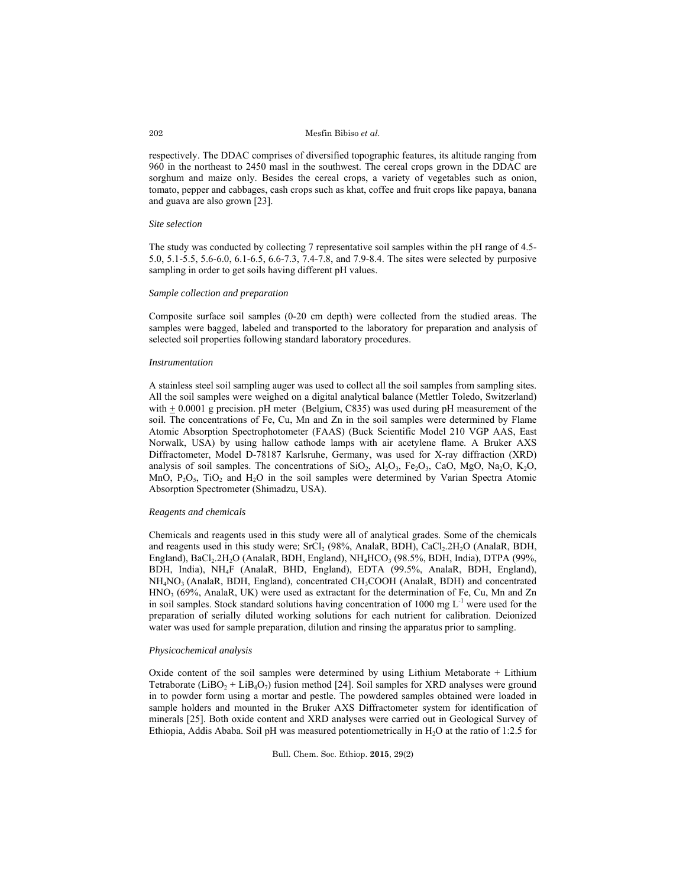respectively. The DDAC comprises of diversified topographic features, its altitude ranging from 960 in the northeast to 2450 masl in the southwest. The cereal crops grown in the DDAC are sorghum and maize only. Besides the cereal crops, a variety of vegetables such as onion, tomato, pepper and cabbages, cash crops such as khat, coffee and fruit crops like papaya, banana and guava are also grown [23].

## *Site selection*

The study was conducted by collecting 7 representative soil samples within the pH range of 4.5- 5.0, 5.1-5.5, 5.6-6.0, 6.1-6.5, 6.6-7.3, 7.4-7.8, and 7.9-8.4. The sites were selected by purposive sampling in order to get soils having different pH values.

# *Sample collection and preparation*

Composite surface soil samples (0-20 cm depth) were collected from the studied areas. The samples were bagged, labeled and transported to the laboratory for preparation and analysis of selected soil properties following standard laboratory procedures.

## *Instrumentation*

A stainless steel soil sampling auger was used to collect all the soil samples from sampling sites. All the soil samples were weighed on a digital analytical balance (Mettler Toledo, Switzerland) with  $+ 0.0001$  g precision. pH meter (Belgium, C835) was used during pH measurement of the soil. The concentrations of Fe, Cu, Mn and Zn in the soil samples were determined by Flame Atomic Absorption Spectrophotometer (FAAS) (Buck Scientific Model 210 VGP AAS, East Norwalk, USA) by using hallow cathode lamps with air acetylene flame. A Bruker AXS Diffractometer, Model D-78187 Karlsruhe, Germany, was used for X-ray diffraction (XRD) analysis of soil samples. The concentrations of  $SiO_2$ ,  $Al_2O_3$ ,  $Fe_2O_3$ ,  $CaO$ ,  $MgO$ ,  $Na_2O$ ,  $K_2O$ , MnO,  $P_2O_5$ , TiO<sub>2</sub> and H<sub>2</sub>O in the soil samples were determined by Varian Spectra Atomic Absorption Spectrometer (Shimadzu, USA).

# *Reagents and chemicals*

Chemicals and reagents used in this study were all of analytical grades. Some of the chemicals and reagents used in this study were;  $SrCl<sub>2</sub> (98%, AnalaR, BDH), CaCl<sub>2</sub>.2H<sub>2</sub>O (AnalaR, BDH,$ England), BaCl<sub>2</sub>.2H<sub>2</sub>O (AnalaR, BDH, England), NH<sub>4</sub>HCO<sub>3</sub> (98.5%, BDH, India), DTPA (99%, BDH, India), NH4F (AnalaR, BHD, England), EDTA (99.5%, AnalaR, BDH, England),  $NH<sub>4</sub>NO<sub>3</sub>$  (AnalaR, BDH, England), concentrated CH<sub>3</sub>COOH (AnalaR, BDH) and concentrated  $HNO<sub>3</sub>$  (69%, AnalaR, UK) were used as extractant for the determination of Fe, Cu, Mn and Zn in soil samples. Stock standard solutions having concentration of 1000 mg  $L^{-1}$  were used for the preparation of serially diluted working solutions for each nutrient for calibration. Deionized water was used for sample preparation, dilution and rinsing the apparatus prior to sampling.

# *Physicochemical analysis*

Oxide content of the soil samples were determined by using Lithium Metaborate + Lithium Tetraborate (LiBO<sub>2</sub> + LiB<sub>4</sub>O<sub>7</sub>) fusion method [24]. Soil samples for XRD analyses were ground in to powder form using a mortar and pestle. The powdered samples obtained were loaded in sample holders and mounted in the Bruker AXS Diffractometer system for identification of minerals [25]. Both oxide content and XRD analyses were carried out in Geological Survey of Ethiopia, Addis Ababa. Soil pH was measured potentiometrically in  $H<sub>2</sub>O$  at the ratio of 1:2.5 for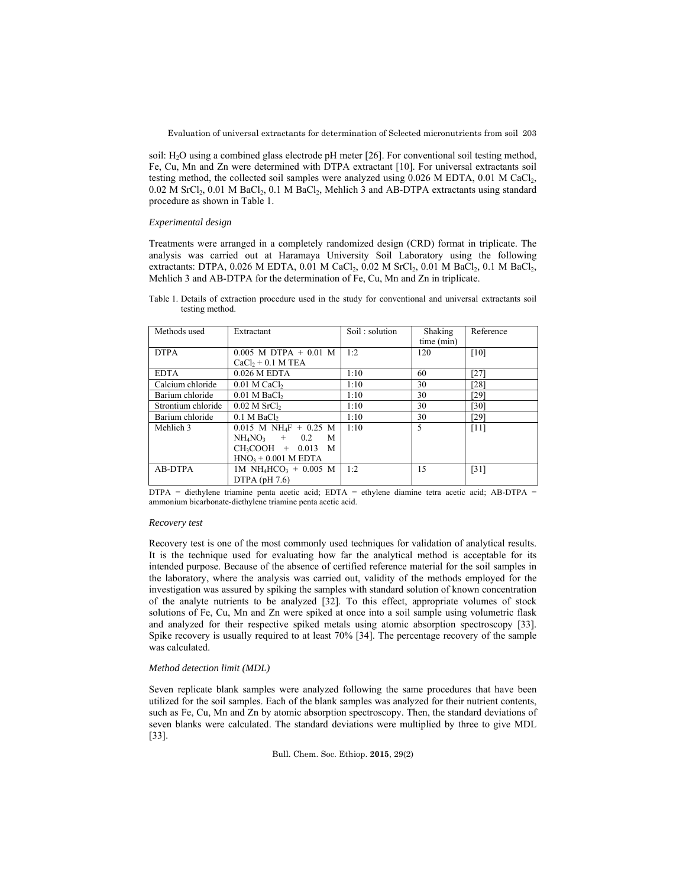soil: H2O using a combined glass electrode pH meter [26]. For conventional soil testing method, Fe, Cu, Mn and Zn were determined with DTPA extractant [10]. For universal extractants soil testing method, the collected soil samples were analyzed using 0.026 M EDTA, 0.01 M CaCl<sub>2</sub>, 0.02 M SrCl<sub>2</sub>, 0.01 M BaCl<sub>2</sub>, 0.1 M BaCl<sub>2</sub>, Mehlich 3 and AB-DTPA extractants using standard procedure as shown in Table 1.

# *Experimental design*

Treatments were arranged in a completely randomized design (CRD) format in triplicate. The analysis was carried out at Haramaya University Soil Laboratory using the following extractants: DTPA,  $0.026$  M EDTA,  $0.01$  M CaCl<sub>2</sub>,  $0.02$  M SrCl<sub>2</sub>,  $0.01$  M BaCl<sub>2</sub>,  $0.1$  M BaCl<sub>2</sub>, Mehlich 3 and AB-DTPA for the determination of Fe, Cu, Mn and Zn in triplicate.

Table 1. Details of extraction procedure used in the study for conventional and universal extractants soil testing method.

| Methods used       | Extractant                                                                                                   | Soil: solution | Shaking<br>time (min) | Reference          |
|--------------------|--------------------------------------------------------------------------------------------------------------|----------------|-----------------------|--------------------|
| <b>DTPA</b>        | $0.005$ M DTPA + $0.01$ M<br>$CaCl2 + 0.1 M TEA$                                                             | 1:2            | 120                   | [10]               |
| <b>EDTA</b>        | $0.026$ M EDTA                                                                                               | 1:10           | 60                    | [27]               |
| Calcium chloride   | $0.01$ M CaCl <sub>2</sub>                                                                                   | 1:10           | 30                    | [28]               |
| Barium chloride    | $0.01$ M BaCl <sub>2</sub>                                                                                   | 1:10           | 30                    | [29]               |
| Strontium chloride | $0.02$ M SrCl <sub>2</sub>                                                                                   | $1:10^{-}$     | 30                    | [30]               |
| Barium chloride    | $0.1$ M BaCl <sub>2</sub>                                                                                    | 1:10           | 30                    | [29]               |
| Mehlich 3          | $0.015$ M NH <sub>4</sub> F + 0.25 M<br>$NH4NO3$ + 0.2<br>M<br>$CH_3COOH + 0.013$ M<br>$HNO3 + 0.001$ M EDTA | 1:10           | 5                     | [11]               |
| <b>AB-DTPA</b>     | 1M NH <sub>4</sub> HCO <sub>3</sub> + 0.005 M<br>$DTPA$ (pH 7.6)                                             | 1:2            | 15                    | $\lceil 31 \rceil$ |

DTPA = diethylene triamine penta acetic acid; EDTA = ethylene diamine tetra acetic acid; AB-DTPA = ammonium bicarbonate-diethylene triamine penta acetic acid.

## *Recovery test*

Recovery test is one of the most commonly used techniques for validation of analytical results. It is the technique used for evaluating how far the analytical method is acceptable for its intended purpose. Because of the absence of certified reference material for the soil samples in the laboratory, where the analysis was carried out, validity of the methods employed for the investigation was assured by spiking the samples with standard solution of known concentration of the analyte nutrients to be analyzed [32]. To this effect, appropriate volumes of stock solutions of Fe, Cu, Mn and Zn were spiked at once into a soil sample using volumetric flask and analyzed for their respective spiked metals using atomic absorption spectroscopy [33]. Spike recovery is usually required to at least 70% [34]. The percentage recovery of the sample was calculated.

## *Method detection limit (MDL)*

Seven replicate blank samples were analyzed following the same procedures that have been utilized for the soil samples. Each of the blank samples was analyzed for their nutrient contents, such as Fe, Cu, Mn and Zn by atomic absorption spectroscopy. Then, the standard deviations of seven blanks were calculated. The standard deviations were multiplied by three to give MDL [33].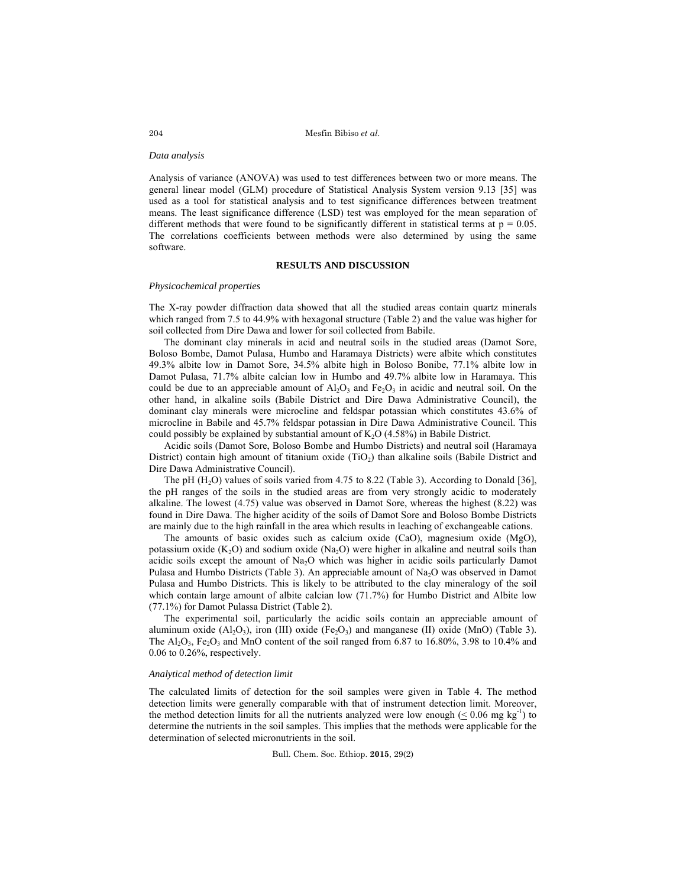## *Data analysis*

Analysis of variance (ANOVA) was used to test differences between two or more means. The general linear model (GLM) procedure of Statistical Analysis System version 9.13 [35] was used as a tool for statistical analysis and to test significance differences between treatment means. The least significance difference (LSD) test was employed for the mean separation of different methods that were found to be significantly different in statistical terms at  $p = 0.05$ . The correlations coefficients between methods were also determined by using the same software.

## **RESULTS AND DISCUSSION**

#### *Physicochemical properties*

The X-ray powder diffraction data showed that all the studied areas contain quartz minerals which ranged from 7.5 to 44.9% with hexagonal structure (Table 2) and the value was higher for soil collected from Dire Dawa and lower for soil collected from Babile.

The dominant clay minerals in acid and neutral soils in the studied areas (Damot Sore, Boloso Bombe, Damot Pulasa, Humbo and Haramaya Districts) were albite which constitutes 49.3% albite low in Damot Sore, 34.5% albite high in Boloso Bonibe, 77.1% albite low in Damot Pulasa, 71.7% albite calcian low in Humbo and 49.7% albite low in Haramaya. This could be due to an appreciable amount of  $Al_2O_3$  and  $Fe_2O_3$  in acidic and neutral soil. On the other hand, in alkaline soils (Babile District and Dire Dawa Administrative Council), the dominant clay minerals were microcline and feldspar potassian which constitutes 43.6% of microcline in Babile and 45.7% feldspar potassian in Dire Dawa Administrative Council. This could possibly be explained by substantial amount of  $K_2O(4.58%)$  in Babile District.

Acidic soils (Damot Sore, Boloso Bombe and Humbo Districts) and neutral soil (Haramaya District) contain high amount of titanium oxide  $(TiO<sub>2</sub>)$  than alkaline soils (Babile District and Dire Dawa Administrative Council).

The pH  $(H<sub>2</sub>O)$  values of soils varied from 4.75 to 8.22 (Table 3). According to Donald [36], the pH ranges of the soils in the studied areas are from very strongly acidic to moderately alkaline. The lowest (4.75) value was observed in Damot Sore, whereas the highest (8.22) was found in Dire Dawa. The higher acidity of the soils of Damot Sore and Boloso Bombe Districts are mainly due to the high rainfall in the area which results in leaching of exchangeable cations.

The amounts of basic oxides such as calcium oxide (CaO), magnesium oxide (MgO), potassium oxide  $(K_2O)$  and sodium oxide  $(Na_2O)$  were higher in alkaline and neutral soils than acidic soils except the amount of Na<sub>2</sub>O which was higher in acidic soils particularly Damot Pulasa and Humbo Districts (Table 3). An appreciable amount of  $Na<sub>2</sub>O$  was observed in Damot Pulasa and Humbo Districts. This is likely to be attributed to the clay mineralogy of the soil which contain large amount of albite calcian low (71.7%) for Humbo District and Albite low (77.1%) for Damot Pulassa District (Table 2).

 The experimental soil, particularly the acidic soils contain an appreciable amount of aluminum oxide  $(A_1, O_3)$ , iron (III) oxide (Fe<sub>2</sub>O<sub>3</sub>) and manganese (II) oxide (MnO) (Table 3). The  $Al_2O_3$ , Fe<sub>2</sub>O<sub>3</sub> and MnO content of the soil ranged from 6.87 to 16.80%, 3.98 to 10.4% and 0.06 to 0.26%, respectively.

### *Analytical method of detection limit*

The calculated limits of detection for the soil samples were given in Table 4. The method detection limits were generally comparable with that of instrument detection limit. Moreover, the method detection limits for all the nutrients analyzed were low enough ( $\leq 0.06$  mg kg<sup>-1</sup>) to determine the nutrients in the soil samples. This implies that the methods were applicable for the determination of selected micronutrients in the soil.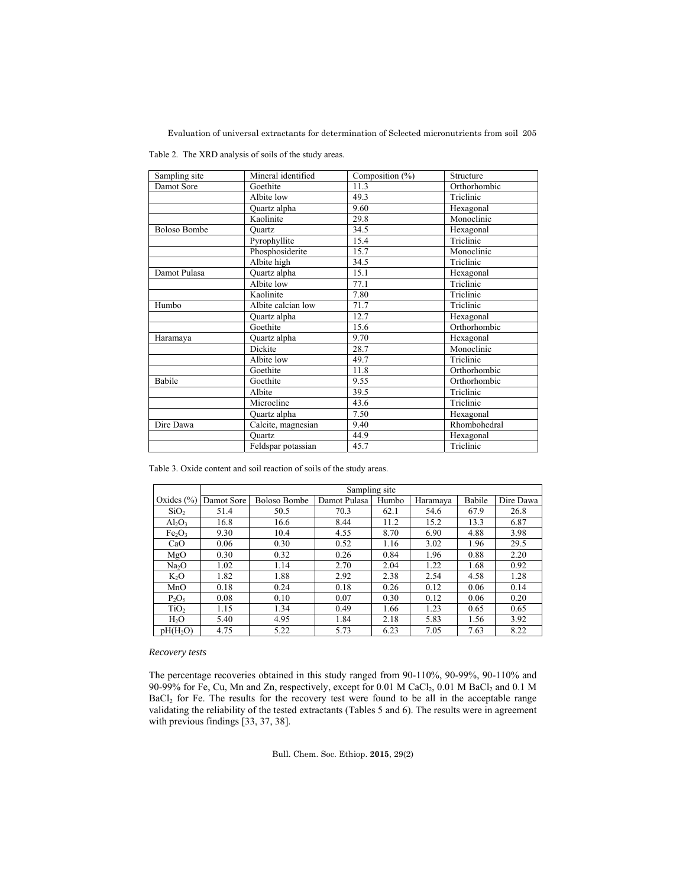Table 2. The XRD analysis of soils of the study areas.

| Sampling site       | Mineral identified | Composition $(\%)$ | Structure    |
|---------------------|--------------------|--------------------|--------------|
| Damot Sore          | Goethite           | 11.3               | Orthorhombic |
|                     | Albite low         | 49.3               | Triclinic    |
|                     | Quartz alpha       | 9.60               | Hexagonal    |
|                     | Kaolinite          | 29.8               | Monoclinic   |
| <b>Boloso Bombe</b> | Ouartz             | 34.5               | Hexagonal    |
|                     | Pyrophyllite       | 15.4               | Triclinic    |
|                     | Phosphosiderite    | 15.7               | Monoclinic   |
|                     | Albite high        | 34.5               | Triclinic    |
| Damot Pulasa        | Quartz alpha       | 15.1               | Hexagonal    |
|                     | Albite low         | 77.1               | Triclinic    |
|                     | Kaolinite          | 7.80               | Triclinic    |
| Humbo               | Albite calcian low | 71.7               | Triclinic    |
|                     | Quartz alpha       | 12.7               | Hexagonal    |
|                     | Goethite           | 15.6               | Orthorhombic |
| Haramaya            | Quartz alpha       | 9.70               | Hexagonal    |
|                     | Dickite            | 28.7               | Monoclinic   |
|                     | Albite low         | 49.7               | Triclinic    |
|                     | Goethite           | 11.8               | Orthorhombic |
| Babile              | Goethite           | 9.55               | Orthorhombic |
|                     | Albite             | 39.5               | Triclinic    |
|                     | Microcline         | 43.6               | Triclinic    |
|                     | Quartz alpha       | 7.50               | Hexagonal    |
| Dire Dawa           | Calcite, magnesian | 9.40               | Rhombohedral |
|                     | Ouartz             | 44.9               | Hexagonal    |
|                     | Feldspar potassian | 45.7               | Triclinic    |

Table 3. Oxide content and soil reaction of soils of the study areas.

|                                |            | Sampling site       |              |       |          |        |           |  |  |  |  |  |
|--------------------------------|------------|---------------------|--------------|-------|----------|--------|-----------|--|--|--|--|--|
| Oxides $(\% )$                 | Damot Sore | <b>Boloso Bombe</b> | Damot Pulasa | Humbo | Haramaya | Babile | Dire Dawa |  |  |  |  |  |
| SiO <sub>2</sub>               | 51.4       | 50.5                | 70.3         | 62.1  | 54.6     | 67.9   | 26.8      |  |  |  |  |  |
| $Al_2O_3$                      | 16.8       | 16.6                | 8.44         | 11.2  | 15.2     | 13.3   | 6.87      |  |  |  |  |  |
| Fe <sub>2</sub> O <sub>3</sub> | 9.30       | 10.4                | 4.55         | 8.70  | 6.90     | 4.88   | 3.98      |  |  |  |  |  |
| CaO                            | 0.06       | 0.30                | 0.52         | 1.16  | 3.02     | 1.96   | 29.5      |  |  |  |  |  |
| MgO                            | 0.30       | 0.32                | 0.26         | 0.84  | 1.96     | 0.88   | 2.20      |  |  |  |  |  |
| Na <sub>2</sub> O              | 1.02       | 1.14                | 2.70         | 2.04  | 1.22     | 1.68   | 0.92      |  |  |  |  |  |
| $K_2O$                         | 1.82       | 1.88                | 2.92         | 2.38  | 2.54     | 4.58   | 1.28      |  |  |  |  |  |
| MnO                            | 0.18       | 0.24                | 0.18         | 0.26  | 0.12     | 0.06   | 0.14      |  |  |  |  |  |
| $P_2O_5$                       | 0.08       | 0.10                | 0.07         | 0.30  | 0.12     | 0.06   | 0.20      |  |  |  |  |  |
| TiO <sub>2</sub>               | 1.15       | 1.34                | 0.49         | 1.66  | 1.23     | 0.65   | 0.65      |  |  |  |  |  |
| $H_2O$                         | 5.40       | 4.95                | 1.84         | 2.18  | 5.83     | 1.56   | 3.92      |  |  |  |  |  |
| pH(H <sub>2</sub> O)           | 4.75       | 5.22                | 5.73         | 6.23  | 7.05     | 7.63   | 8.22      |  |  |  |  |  |

# *Recovery tests*

The percentage recoveries obtained in this study ranged from 90-110%, 90-99%, 90-110% and 90-99% for Fe, Cu, Mn and Zn, respectively, except for 0.01 M CaCl<sub>2</sub>, 0.01 M BaCl<sub>2</sub> and 0.1 M BaCl<sub>2</sub> for Fe. The results for the recovery test were found to be all in the acceptable range validating the reliability of the tested extractants (Tables 5 and 6). The results were in agreement with previous findings [33, 37, 38].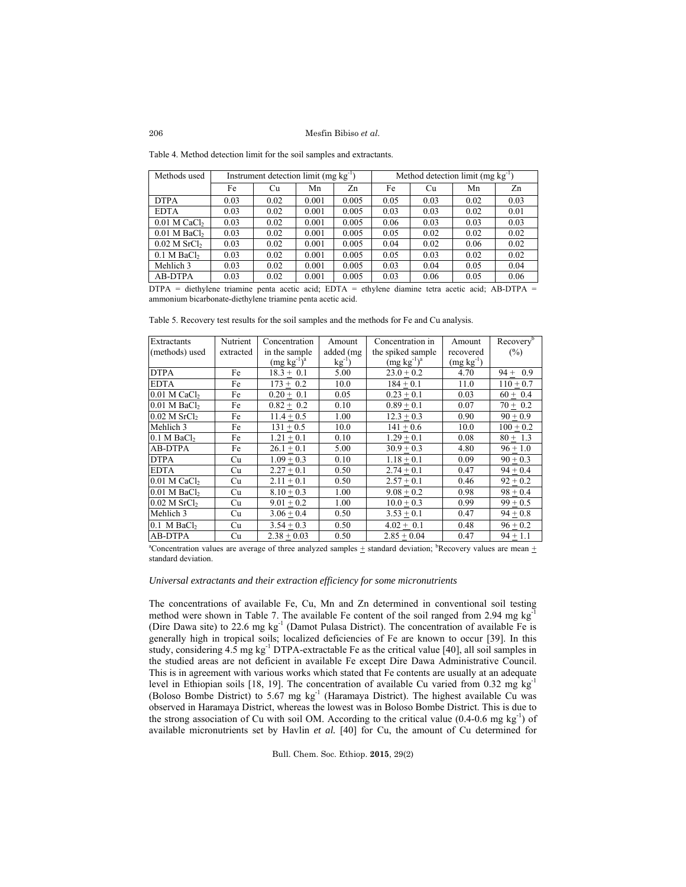Table 4. Method detection limit for the soil samples and extractants.

| Methods used               |      | Instrument detection limit (mg $kg^{-1}$ ) |       |       | Method detection limit (mg kg <sup>-1</sup> |      |      |      |
|----------------------------|------|--------------------------------------------|-------|-------|---------------------------------------------|------|------|------|
|                            | Fe   | Cu                                         | Mn    | Zn    | Fe                                          | Cu   | Mn   | Zn   |
| <b>DTPA</b>                | 0.03 | 0.02                                       | 0.001 | 0.005 | 0.05                                        | 0.03 | 0.02 | 0.03 |
| <b>EDTA</b>                | 0.03 | 0.02                                       | 0.001 | 0.005 | 0.03                                        | 0.03 | 0.02 | 0.01 |
| $0.01$ M CaCl <sub>2</sub> | 0.03 | 0.02                                       | 0.001 | 0.005 | 0.06                                        | 0.03 | 0.03 | 0.03 |
| $0.01$ M BaCl <sub>2</sub> | 0.03 | 0.02                                       | 0.001 | 0.005 | 0.05                                        | 0.02 | 0.02 | 0.02 |
| $0.02$ M SrCl <sub>2</sub> | 0.03 | 0.02                                       | 0.001 | 0.005 | 0.04                                        | 0.02 | 0.06 | 0.02 |
| $0.1$ M BaCl <sub>2</sub>  | 0.03 | 0.02                                       | 0.001 | 0.005 | 0.05                                        | 0.03 | 0.02 | 0.02 |
| Mehlich 3                  | 0.03 | 0.02                                       | 0.001 | 0.005 | 0.03                                        | 0.04 | 0.05 | 0.04 |
| AB-DTPA                    | 0.03 | 0.02                                       | 0.001 | 0.005 | 0.03                                        | 0.06 | 0.05 | 0.06 |

DTPA = diethylene triamine penta acetic acid; EDTA = ethylene diamine tetra acetic acid; AB-DTPA = ammonium bicarbonate-diethylene triamine penta acetic acid.

Table 5. Recovery test results for the soil samples and the methods for Fe and Cu analysis.

| Extractants                | Nutrient  | Concentration    | Amount    | Concentration in                                                                                                                          | Amount         | Recovery <sup>b</sup> |
|----------------------------|-----------|------------------|-----------|-------------------------------------------------------------------------------------------------------------------------------------------|----------------|-----------------------|
| (methods) used             | extracted | in the sample    | added (mg | the spiked sample                                                                                                                         | recovered      | $(\%)$                |
|                            |           | $(mg kg^{-1})^a$ | $kg^{-1}$ | $(mg kg^{-1})^a$                                                                                                                          | $(mg kg^{-1})$ |                       |
| <b>DTPA</b>                | Fe        | $18.3 + 0.1$     | 5.00      | $23.0 + 0.2$                                                                                                                              | 4.70           | $94 + 0.9$            |
| <b>EDTA</b>                | Fe        | $173 + 0.2$      | 10.0      | $184 + 0.1$                                                                                                                               | 11.0           | $110 + 0.7$           |
| $0.01$ M CaCl <sub>2</sub> | Fe        | $0.20 + 0.1$     | 0.05      | $0.23 + 0.1$                                                                                                                              | 0.03           | $60 + 0.4$            |
| $0.01$ M BaCl <sub>2</sub> | Fe        | $0.82 + 0.2$     | 0.10      | $0.89 + 0.1$                                                                                                                              | 0.07           | $70 + 0.2$            |
| $0.02$ M SrCl <sub>2</sub> | Fe        | $11.4 + 0.5$     | 1.00      | $12.3 + 0.3$                                                                                                                              | 0.90           | $90 + 0.9$            |
| Mehlich <sub>3</sub>       | Fe        | $131 + 0.5$      | 10.0      | $141 + 0.6$                                                                                                                               | 10.0           | $100 + 0.2$           |
| $0.1$ M BaCl <sub>2</sub>  | Fe        | $1.21 + 0.1$     | 0.10      | $1.29 + 0.1$                                                                                                                              | 0.08           | $80 + 1.3$            |
| <b>AB-DTPA</b>             | Fe        | $26.1 + 0.1$     | 5.00      | $30.9 + 0.3$                                                                                                                              | 4.80           | $96 + 1.0$            |
| DTPA                       | Cu        | $1.09 + 0.3$     | 0.10      | $1.18 + 0.1$                                                                                                                              | 0.09           | $90 + 0.3$            |
| <b>EDTA</b>                | Cu        | $2.27 + 0.1$     | 0.50      | $2.74 + 0.1$                                                                                                                              | 0.47           | $94 + 0.4$            |
| $0.01$ M CaCl <sub>2</sub> | Cu        | $2.11 + 0.1$     | 0.50      | $2.57 + 0.1$                                                                                                                              | 0.46           | $92 + 0.2$            |
| $0.01$ M BaCl <sub>2</sub> | Cu        | $8.10 + 0.3$     | 1.00      | $9.08 + 0.2$                                                                                                                              | 0.98           | $98 + 0.4$            |
| $0.02$ M SrCl <sub>2</sub> | Cu        | $9.01 + 0.2$     | 1.00      | $10.0 + 0.3$                                                                                                                              | 0.99           | $99 + 0.5$            |
| Mehlich 3                  | Cu        | $3.06 + 0.4$     | 0.50      | $3.53 + 0.1$                                                                                                                              | 0.47           | $94 + 0.8$            |
| $0.1$ M BaCl <sub>2</sub>  | Cu        | $3.54 + 0.3$     | 0.50      | $4.02 + 0.1$                                                                                                                              | 0.48           | $96 + 0.2$            |
| AB-DTPA                    | Cu        | $2.38 + 0.03$    | 0.50      | $2.85 + 0.04$                                                                                                                             | 0.47           | $94 + 1.1$            |
|                            |           |                  |           | <sup>a</sup> Concentration values are average of three analyzed samples $+$ standard deviation; <sup>b</sup> Recovery values are mean $+$ |                |                       |

standard deviation.

# *Universal extractants and their extraction efficiency for some micronutrients*

The concentrations of available Fe, Cu, Mn and Zn determined in conventional soil testing method were shown in Table 7. The available Fe content of the soil ranged from 2.94 mg kg-(Dire Dawa site) to 22.6 mg  $kg^{-1}$  (Damot Pulasa District). The concentration of available Fe is generally high in tropical soils; localized deficiencies of Fe are known to occur [39]. In this study, considering 4.5 mg kg-1 DTPA-extractable Fe as the critical value [40], all soil samples in the studied areas are not deficient in available Fe except Dire Dawa Administrative Council. This is in agreement with various works which stated that Fe contents are usually at an adequate level in Ethiopian soils [18, 19]. The concentration of available Cu varied from 0.32 mg kg-1 (Boloso Bombe District) to 5.67 mg kg-1 (Haramaya District). The highest available Cu was observed in Haramaya District, whereas the lowest was in Boloso Bombe District. This is due to the strong association of Cu with soil OM. According to the critical value  $(0.4\n-0.6$  mg kg<sup>-1</sup>) of available micronutrients set by Havlin *et al.* [40] for Cu, the amount of Cu determined for

Bull. Chem. Soc. Ethiop. **2015**, 29(2)

206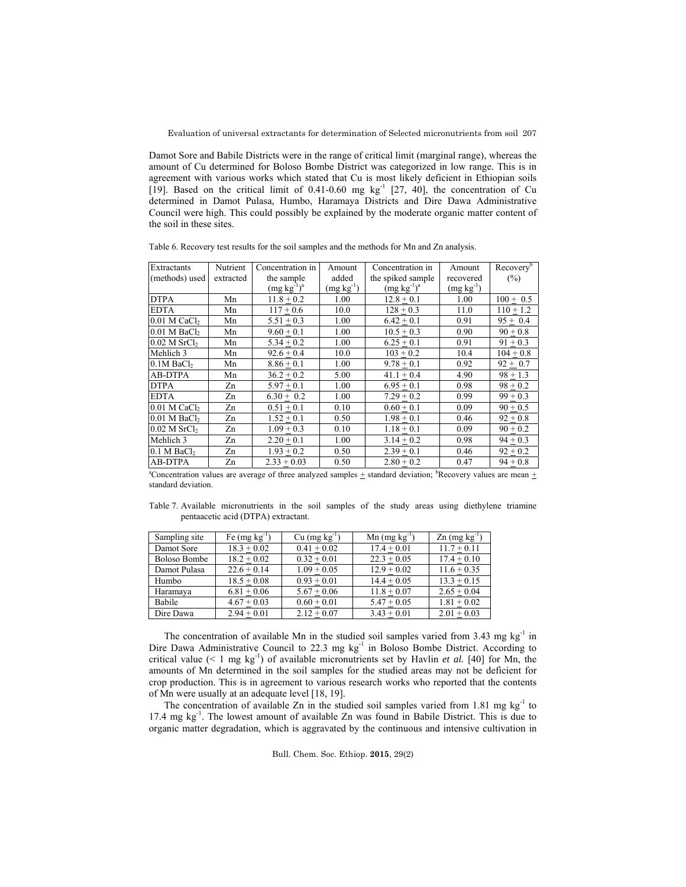Damot Sore and Babile Districts were in the range of critical limit (marginal range), whereas the amount of Cu determined for Boloso Bombe District was categorized in low range. This is in agreement with various works which stated that Cu is most likely deficient in Ethiopian soils [19]. Based on the critical limit of  $0.41$ -0.60 mg kg<sup>-1</sup> [27, 40], the concentration of Cu determined in Damot Pulasa, Humbo, Haramaya Districts and Dire Dawa Administrative Council were high. This could possibly be explained by the moderate organic matter content of the soil in these sites.

Table 6. Recovery test results for the soil samples and the methods for Mn and Zn analysis.

| Extractants                | Nutrient  | Concentration in | Amount         | Concentration in                                                                                                                      | Amount      | Recovery <sup>b</sup> |
|----------------------------|-----------|------------------|----------------|---------------------------------------------------------------------------------------------------------------------------------------|-------------|-----------------------|
| (methods) used             | extracted | the sample       | added          | the spiked sample                                                                                                                     | recovered   | $(\%)$                |
|                            |           | $(mg kg^{-1})^a$ | $(mg kg^{-1})$ | $(mg kg^{-1})^a$                                                                                                                      | $(mg kg-1)$ |                       |
| <b>DTPA</b>                | Mn        | $11.8 \pm 0.2$   | 1.00           | $12.8 + 0.1$                                                                                                                          | 1.00        | $100 + 0.5$           |
| <b>EDTA</b>                | Mn        | $117 + 0.6$      | 10.0           | $128 + 0.3$                                                                                                                           | 11.0        | $110 + 1.2$           |
| $0.01$ M CaCl <sub>2</sub> | Mn        | $5.51 + 0.3$     | 1.00           | $6.42 + 0.1$                                                                                                                          | 0.91        | $95 + 0.4$            |
| $0.01$ M BaCl <sub>2</sub> | Mn        | $9.60 + 0.1$     | 1.00           | $10.5 + 0.3$                                                                                                                          | 0.90        | $90 + 0.8$            |
| $0.02$ M SrCl <sub>2</sub> | Mn        | $5.34 + 0.2$     | 1.00           | $6.25 + 0.1$                                                                                                                          | 0.91        | $91 + 0.3$            |
| Mehlich 3                  | Mn        | $92.6 + 0.4$     | 10.0           | $103 + 0.2$                                                                                                                           | 10.4        | $104 + 0.8$           |
| $0.1M$ BaCl <sub>2</sub>   | Mn        | $8.86 + 0.1$     | 1.00           | $9.78 + 0.1$                                                                                                                          | 0.92        | $92 + 0.7$            |
| AB-DTPA                    | Mn        | $36.2 + 0.2$     | 5.00           | $41.1 + 0.4$                                                                                                                          | 4.90        | $98 + 1.3$            |
| <b>DTPA</b>                | Zn        | $5.97 + 0.1$     | 1.00           | $6.95 + 0.1$                                                                                                                          | 0.98        | $98 + 0.2$            |
| <b>EDTA</b>                | Zn        | $6.30 + 0.2$     | 1.00           | $7.29 + 0.2$                                                                                                                          | 0.99        | $99 + 0.3$            |
| 0.01 M CaCl <sub>2</sub>   | Zn        | $0.51 + 0.1$     | 0.10           | $0.60 + 0.1$                                                                                                                          | 0.09        | $90 + 0.5$            |
| $0.01$ M BaCl <sub>2</sub> | Zn        | $1.52 + 0.1$     | 0.50           | $1.98 + 0.1$                                                                                                                          | 0.46        | $92 + 0.8$            |
| $0.02$ M SrCl <sub>2</sub> | Zn        | $1.09 + 0.3$     | 0.10           | $1.18 + 0.1$                                                                                                                          | 0.09        | $90 + 0.2$            |
| Mehlich 3                  | Zn        | $2.20 + 0.1$     | 1.00           | $3.14 + 0.2$                                                                                                                          | 0.98        | $94 + 0.3$            |
| $0.1$ M BaCl <sub>2</sub>  | Zn        | $1.93 + 0.2$     | 0.50           | $2.39 + 0.1$                                                                                                                          | 0.46        | $92 + 0.2$            |
| <b>AB-DTPA</b>             | Zn        | $2.33 + 0.03$    | 0.50           | $2.80 + 0.2$                                                                                                                          | 0.47        | $94 + 0.8$            |
|                            |           |                  |                | <sup>a</sup> Concentration values are average of three analyzed samples + standard deviation; <sup>b</sup> Recovery values are mean + |             |                       |

standard deviation.

Table 7. Available micronutrients in the soil samples of the study areas using diethylene triamine pentaacetic acid (DTPA) extractant.

| Sampling site | Fe $(mg kg^{-1})$ | $Cu$ (mg $kg^{-1}$ ) | $Mn$ (mg kg <sup>-1</sup> ) | $Zn$ (mg kg <sup>-1</sup> ) |
|---------------|-------------------|----------------------|-----------------------------|-----------------------------|
| Damot Sore    | $18.3 + 0.02$     | $0.41 + 0.02$        | $17.4 + 0.01$               | $11.7 + 0.11$               |
| Boloso Bombe  | $18.2 + 0.02$     | $0.32 + 0.01$        | $22.3 + 0.05$               | $17.4 + 0.10$               |
| Damot Pulasa  | $22.6 + 0.14$     | $1.09 + 0.05$        | $12.9 + 0.02$               | $11.6 + 0.35$               |
| Humbo         | $18.5 + 0.08$     | $0.93 + 0.01$        | $14.4 + 0.05$               | $13.3 + 0.15$               |
| Haramaya      | $6.81 + 0.06$     | $5.67 + 0.06$        | $11.8 + 0.07$               | $2.65 + 0.04$               |
| Babile        | $4.67 + 0.03$     | $0.60 + 0.01$        | $5.47 + 0.05$               | $1.81 + 0.02$               |
| Dire Dawa     | $2.94 + 0.01$     | $2.12 + 0.07$        | $3.43 + 0.01$               | $2.01 + 0.03$               |

The concentration of available Mn in the studied soil samples varied from  $3.43 \text{ mg kg}^{-1}$  in Dire Dawa Administrative Council to 22.3 mg kg<sup>-1</sup> in Boloso Bombe District. According to critical value ( $\leq 1$  mg kg<sup>-1</sup>) of available micronutrients set by Havlin *et al.* [40] for Mn, the amounts of Mn determined in the soil samples for the studied areas may not be deficient for crop production. This is in agreement to various research works who reported that the contents of Mn were usually at an adequate level [18, 19].

The concentration of available Zn in the studied soil samples varied from 1.81 mg  $kg^{-1}$  to 17.4 mg kg<sup>-1</sup>. The lowest amount of available Zn was found in Babile District. This is due to organic matter degradation, which is aggravated by the continuous and intensive cultivation in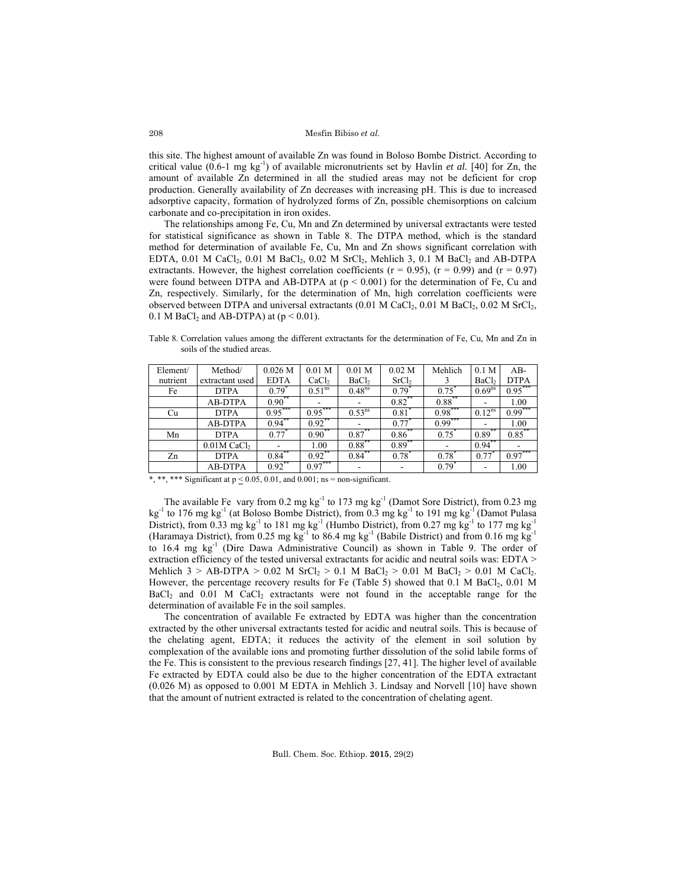this site. The highest amount of available Zn was found in Boloso Bombe District. According to critical value  $(0.6-1 \text{ mg kg}^{-1})$  of available micronutrients set by Havlin *et al.* [40] for Zn, the amount of available Zn determined in all the studied areas may not be deficient for crop production. Generally availability of Zn decreases with increasing pH. This is due to increased adsorptive capacity, formation of hydrolyzed forms of Zn, possible chemisorptions on calcium carbonate and co-precipitation in iron oxides.

The relationships among Fe, Cu, Mn and Zn determined by universal extractants were tested for statistical significance as shown in Table 8. The DTPA method, which is the standard method for determination of available Fe, Cu, Mn and Zn shows significant correlation with EDTA,  $0.01$  M CaCl<sub>2</sub>,  $0.01$  M BaCl<sub>2</sub>,  $0.02$  M SrCl<sub>2</sub>, Mehlich 3, 0.1 M BaCl<sub>2</sub> and AB-DTPA extractants. However, the highest correlation coefficients ( $r = 0.95$ ), ( $r = 0.99$ ) and ( $r = 0.97$ ) were found between DTPA and AB-DTPA at  $(p < 0.001)$  for the determination of Fe, Cu and Zn, respectively. Similarly, for the determination of Mn, high correlation coefficients were observed between DTPA and universal extractants  $(0.01 \text{ M } \text{CaCl}_2, 0.01 \text{ M } \text{BaCl}_2, 0.02 \text{ M } \text{SrCl}_2)$ 0.1 M BaCl<sub>2</sub> and AB-DTPA) at  $(p < 0.01)$ .

Table 8. Correlation values among the different extractants for the determination of Fe, Cu, Mn and Zn in soils of the studied areas.

| Element/ | Method/                   | 0.026 M           | 0.01 <sub>M</sub>  | 0.01 <sub>M</sub>  | 0.02 <sub>M</sub>   | Mehlich             | 0.1 <sub>M</sub> | $AB-$       |
|----------|---------------------------|-------------------|--------------------|--------------------|---------------------|---------------------|------------------|-------------|
| nutrient | extractant used           | <b>EDTA</b>       | CaCl <sub>2</sub>  | BaC <sub>l</sub>   | SrCl <sub>2</sub>   |                     | BaC <sub>l</sub> | <b>DTPA</b> |
| Fe       | <b>DTPA</b>               | $0.79^{^{\circ}}$ | 0.51 <sup>ns</sup> | 0.48 <sup>ns</sup> | $0.79^{^{\circ}}$   | 0.75                | $0.69^{ns}$      | $0.95***$   |
|          | <b>AB-DTPA</b>            | $0.90**$          |                    |                    | $0.82$ **           | $0.88***$           |                  | 1.00        |
| Cu       | <b>DTPA</b>               | $0.95***$         | $0.95***$          | $0.53^{ns}$        | $0.81^{\circ}$      | $0.98^{^{\circ}}$   | $0.12^{ns}$      | $0.99***$   |
|          | <b>AB-DTPA</b>            | $0.94$ **         | $0.92$ **          |                    | $0.77^{^{\circ}}$   | $0.99***$           |                  | 1.00        |
| Mn       | <b>DTPA</b>               | 0.77              | $0.90**$           | $0.87***$          | $0.86$ **           | 0.75                | $0.89***$        | $0.85$ **   |
|          | $0.01M$ CaCl <sub>2</sub> |                   | 1.00               | $0.88$ **          | $0.89***$           |                     | $0.94$ **        |             |
| Zn       | <b>DTPA</b>               | 0.84              | $0.92^{\degree}$   | 0.84               | $0.78$ <sup>*</sup> | $0.78$ <sup>*</sup> | 0.77             | 0.97        |
|          | <b>AB-DTPA</b>            | $0.92$ **         | $0.97***$          |                    | -                   | $0.79^{1}$          |                  | 1.00        |

\*, \*\*\* Significant at  $p < 0.05, 0.01$ , and  $0.001$ ; ns = non-significant.

The available Fe vary from 0.2 mg kg<sup>-1</sup> to 173 mg kg<sup>-1</sup> (Damot Sore District), from 0.23 mg kg<sup>-1</sup> to 176 mg kg<sup>-1</sup> (at Boloso Bombe District), from 0.3 mg kg<sup>-1</sup> to 191 mg kg<sup>-1</sup> (Damot Pulasa District), from 0.33 mg kg<sup>-1</sup> to 181 mg kg<sup>-1</sup> (Humbo District), from 0.27 mg kg<sup>-1</sup> to 177 mg kg<sup>-1</sup> (Haramaya District), from 0.25 mg kg<sup>-1</sup> to 86.4 mg kg<sup>-1</sup> (Babile District) and from 0.16 mg kg<sup>-1</sup> to 16.4 mg kg<sup>-1</sup> (Dire Dawa Administrative Council) as shown in Table 9. The order of extraction efficiency of the tested universal extractants for acidic and neutral soils was: EDTA > Mehlich 3 > AB-DTPA > 0.02 M SrCl<sub>2</sub> > 0.1 M BaCl<sub>2</sub> > 0.01 M BaCl<sub>2</sub> > 0.01 M CaCl<sub>2</sub>. However, the percentage recovery results for Fe (Table 5) showed that  $0.1 \text{ M BaCl}_2$ ,  $0.01 \text{ M}$  $BaCl<sub>2</sub>$  and  $0.01$  M CaCl<sub>2</sub> extractants were not found in the acceptable range for the determination of available Fe in the soil samples.

 The concentration of available Fe extracted by EDTA was higher than the concentration extracted by the other universal extractants tested for acidic and neutral soils. This is because of the chelating agent, EDTA; it reduces the activity of the element in soil solution by complexation of the available ions and promoting further dissolution of the solid labile forms of the Fe. This is consistent to the previous research findings [27, 41]. The higher level of available Fe extracted by EDTA could also be due to the higher concentration of the EDTA extractant (0.026 M) as opposed to 0.001 M EDTA in Mehlich 3. Lindsay and Norvell [10] have shown that the amount of nutrient extracted is related to the concentration of chelating agent.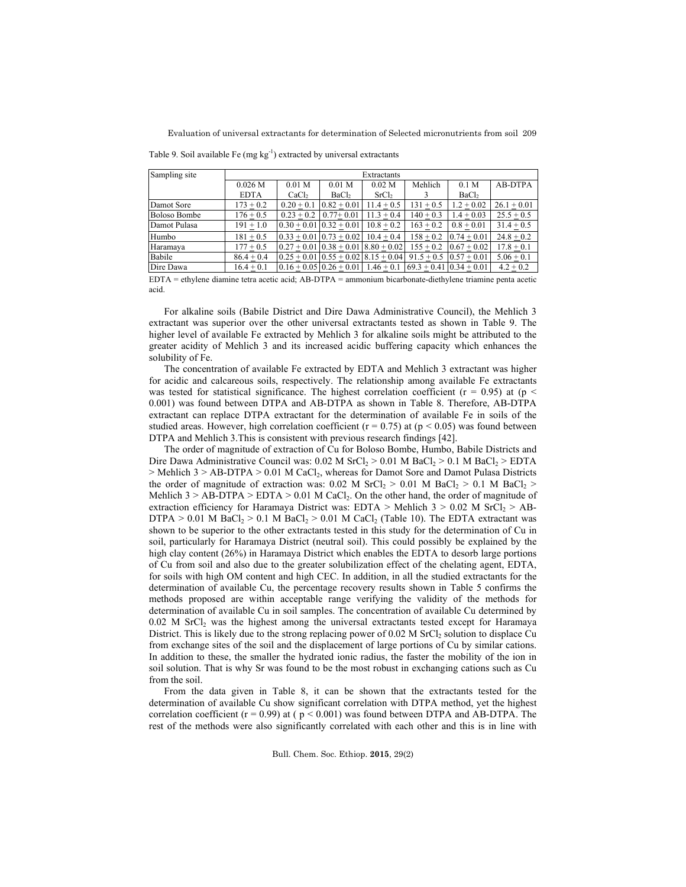| Sampling site       |              | Extractants                                    |                   |                   |             |                              |                |  |  |
|---------------------|--------------|------------------------------------------------|-------------------|-------------------|-------------|------------------------------|----------------|--|--|
|                     | 0.026 M      | 0.01 <sub>M</sub>                              | 0.01 <sub>M</sub> | 0.02 <sub>M</sub> | Mehlich     | 0.1 <sub>M</sub>             | <b>AB-DTPA</b> |  |  |
|                     | <b>EDTA</b>  | CaCl <sub>2</sub>                              | BaCl <sub>2</sub> | SrCl <sub>2</sub> |             | BaCl <sub>2</sub>            |                |  |  |
| Damot Sore          | $173 + 0.2$  | $0.20 + 0.1$                                   | $0.82 + 0.01$     | $11.4 + 0.5$      | $131 + 0.5$ | $1.2 + 0.02$                 | $26.1 + 0.01$  |  |  |
| <b>Boloso Bombe</b> | $176 + 0.5$  | $0.23 + 0.2$                                   | $0.77 + 0.01$     | $11.3 + 0.4$      | $140 + 0.3$ | $1.4 + 0.03$                 | $25.5 + 0.5$   |  |  |
| Damot Pulasa        | $191 + 1.0$  | $0.30 + 0.01 \, 0.32 + 0.01$                   |                   | $10.8 + 0.2$      | $163 + 0.2$ | $0.8 + 0.01$                 | $31.4 + 0.5$   |  |  |
| Humbo               | $181 + 0.5$  | $0.33 + 0.01 \, 0.73 + 0.02$                   |                   | $10.4 + 0.4$      | $158 + 0.2$ | $0.74 + 0.01$                | $24.8 + 0.2$   |  |  |
| Haramava            | $177 + 0.5$  | $0.27 + 0.01 \, 0.38 + 0.01 \, 8.80 + 0.02$    |                   |                   | $155 + 0.2$ | $0.67 + 0.02$                | $17.8 + 0.1$   |  |  |
| Babile              | $86.4 + 0.4$ | $0.25 + 0.01 \, 0.55 + 0.02 \, 8.15 + 0.04$    |                   |                   |             | $91.5 + 0.5$ $0.57 + 0.01$   | $5.06 + 0.1$   |  |  |
| Dire Dawa           | $16.4 + 0.1$ | $0.16 + 0.05 \mid 0.26 + 0.01 \mid 1.46 + 0.1$ |                   |                   |             | $69.3 + 0.41 \, 0.34 + 0.01$ | $4.2 + 0.2$    |  |  |

Table 9. Soil available Fe  $(mg kg<sup>-1</sup>)$  extracted by universal extractants

EDTA = ethylene diamine tetra acetic acid; AB-DTPA = ammonium bicarbonate-diethylene triamine penta acetic acid.

For alkaline soils (Babile District and Dire Dawa Administrative Council), the Mehlich 3 extractant was superior over the other universal extractants tested as shown in Table 9. The higher level of available Fe extracted by Mehlich 3 for alkaline soils might be attributed to the greater acidity of Mehlich 3 and its increased acidic buffering capacity which enhances the solubility of Fe.

The concentration of available Fe extracted by EDTA and Mehlich 3 extractant was higher for acidic and calcareous soils, respectively. The relationship among available Fe extractants was tested for statistical significance. The highest correlation coefficient ( $r = 0.95$ ) at ( $p <$ 0.001) was found between DTPA and AB-DTPA as shown in Table 8. Therefore, AB-DTPA extractant can replace DTPA extractant for the determination of available Fe in soils of the studied areas. However, high correlation coefficient ( $r = 0.75$ ) at ( $p < 0.05$ ) was found between DTPA and Mehlich 3.This is consistent with previous research findings [42].

 The order of magnitude of extraction of Cu for Boloso Bombe, Humbo, Babile Districts and Dire Dawa Administrative Council was:  $0.02$  M SrCl<sub>2</sub>  $> 0.01$  M BaCl<sub>2</sub>  $> 0.1$  M BaCl<sub>2</sub>  $>$  EDTA  $>$  Mehlich 3  $>$  AB-DTPA  $>$  0.01 M CaCl<sub>2</sub>, whereas for Damot Sore and Damot Pulasa Districts the order of magnitude of extraction was:  $0.02$  M SrCl<sub>2</sub> >  $0.01$  M BaCl<sub>2</sub> > 0.1 M BaCl<sub>2</sub> > Mehlich 3 > AB-DTPA > EDTA > 0.01 M CaCl<sub>2</sub>. On the other hand, the order of magnitude of extraction efficiency for Haramaya District was: EDTA > Mehlich  $3 > 0.02$  M SrCl<sub>2</sub> > AB-DTPA > 0.01 M BaCl<sub>2</sub> > 0.1 M BaCl<sub>2</sub> > 0.01 M CaCl<sub>2</sub> (Table 10). The EDTA extractant was shown to be superior to the other extractants tested in this study for the determination of Cu in soil, particularly for Haramaya District (neutral soil). This could possibly be explained by the high clay content (26%) in Haramaya District which enables the EDTA to desorb large portions of Cu from soil and also due to the greater solubilization effect of the chelating agent, EDTA, for soils with high OM content and high CEC. In addition, in all the studied extractants for the determination of available Cu, the percentage recovery results shown in Table 5 confirms the methods proposed are within acceptable range verifying the validity of the methods for determination of available Cu in soil samples. The concentration of available Cu determined by  $0.02$  M SrCl<sub>2</sub> was the highest among the universal extractants tested except for Haramaya District. This is likely due to the strong replacing power of  $0.02$  M SrCl<sub>2</sub> solution to displace Cu from exchange sites of the soil and the displacement of large portions of Cu by similar cations. In addition to these, the smaller the hydrated ionic radius, the faster the mobility of the ion in soil solution. That is why Sr was found to be the most robust in exchanging cations such as Cu from the soil.

 From the data given in Table 8, it can be shown that the extractants tested for the determination of available Cu show significant correlation with DTPA method, yet the highest correlation coefficient ( $r = 0.99$ ) at ( $p < 0.001$ ) was found between DTPA and AB-DTPA. The rest of the methods were also significantly correlated with each other and this is in line with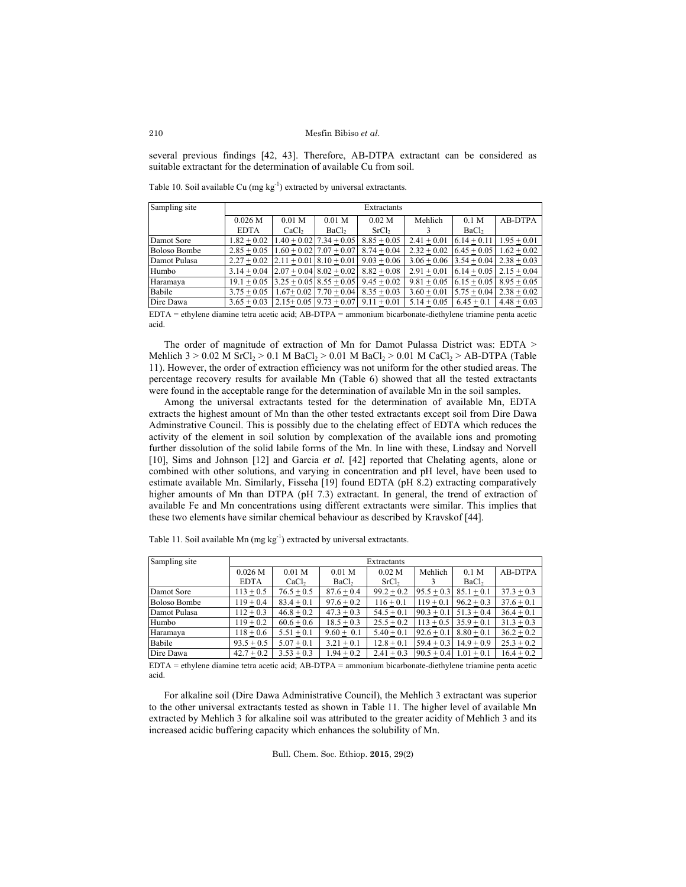several previous findings [42, 43]. Therefore, AB-DTPA extractant can be considered as suitable extractant for the determination of available Cu from soil.

Table 10. Soil available Cu  $(mg kg<sup>-1</sup>)$  extracted by universal extractants.

| Sampling site       | Extractants                                             |                   |                                       |                   |               |                             |                             |  |
|---------------------|---------------------------------------------------------|-------------------|---------------------------------------|-------------------|---------------|-----------------------------|-----------------------------|--|
|                     | $0.026$ M                                               | 0.01 <sub>M</sub> | 0.01 <sub>M</sub>                     | 0.02 <sub>M</sub> | Mehlich       | 0.1 <sub>M</sub>            | AB-DTPA                     |  |
|                     | <b>EDTA</b>                                             | CaCl <sub>2</sub> | BaCl <sub>2</sub>                     | SrCl <sub>2</sub> |               | BaCl <sub>2</sub>           |                             |  |
| Damot Sore          | $1.82 + 0.02$                                           |                   | $1.40 + 0.02$   7.34 + 0.05           | $8.85 + 0.05$     | $2.41 + 0.01$ | $6.14 + 0.11$               | $1.95 + 0.01$               |  |
| <b>Boloso Bombe</b> | $2.85 + 0.05$                                           |                   | $1.60 + 0.02$   $7.07 + 0.07$         | $8.74 + 0.04$     | $2.32 + 0.02$ | $6.45 + 0.05$               | $1.62 + 0.02$               |  |
| Damot Pulasa        | $2.27 + 0.02$                                           |                   | $\left[2.11 + 0.01\right]8.10 + 0.01$ | $9.03 + 0.06$     | $3.06 + 0.06$ | $3.54 + 0.04$   2.38 + 0.03 |                             |  |
| Humbo               | $3.14 + 0.04$                                           |                   | $2.07 + 0.04$ 8.02 + 0.02             | $8.82 + 0.08$     | $2.91 + 0.01$ |                             | $6.14 + 0.05$   2.15 + 0.04 |  |
| Haramaya            | $19.1 + 0.05$   3.25 + 0.05   8.55 + 0.05               |                   |                                       | $9.45 + 0.02$     | $9.81 + 0.05$ |                             | $6.15 + 0.05$ 8.95 + 0.05   |  |
| Babile              | $3.75 + 0.05$                                           |                   | $1.67 + 0.02$   7.70 + 0.04           | $8.35 + 0.03$     | $3.60 + 0.01$ | $5.75 + 0.04$ 2.38 + 0.02   |                             |  |
| Dire Dawa           | $3.65 + 0.03$   2.15 + 0.05   9.73 + 0.07   9.11 + 0.01 |                   |                                       |                   | $5.14 + 0.05$ | $6.45 + 0.1$                | $4.48 + 0.03$               |  |

EDTA = ethylene diamine tetra acetic acid; AB-DTPA = ammonium bicarbonate-diethylene triamine penta acetic acid.

 The order of magnitude of extraction of Mn for Damot Pulassa District was: EDTA > Mehlich  $3 > 0.02$  M SrCl<sub>2</sub>  $> 0.1$  M BaCl<sub>2</sub>  $> 0.01$  M BaCl<sub>2</sub>  $> 0.01$  M CaCl<sub>2</sub>  $>$  AB-DTPA (Table 11). However, the order of extraction efficiency was not uniform for the other studied areas. The percentage recovery results for available Mn (Table 6) showed that all the tested extractants were found in the acceptable range for the determination of available Mn in the soil samples.

Among the universal extractants tested for the determination of available Mn, EDTA extracts the highest amount of Mn than the other tested extractants except soil from Dire Dawa Adminstrative Council. This is possibly due to the chelating effect of EDTA which reduces the activity of the element in soil solution by complexation of the available ions and promoting further dissolution of the solid labile forms of the Mn. In line with these, Lindsay and Norvell [10], Sims and Johnson [12] and Garcia *et al.* [42] reported that Chelating agents, alone or combined with other solutions, and varying in concentration and pH level, have been used to estimate available Mn. Similarly, Fisseha [19] found EDTA (pH 8.2) extracting comparatively higher amounts of Mn than DTPA (pH 7.3) extractant. In general, the trend of extraction of available Fe and Mn concentrations using different extractants were similar. This implies that these two elements have similar chemical behaviour as described by Kravskof [44].

| Sampling site       | Extractants  |                   |                   |                   |              |                   |              |  |  |
|---------------------|--------------|-------------------|-------------------|-------------------|--------------|-------------------|--------------|--|--|
|                     | 0.026 M      | 0.01 <sub>M</sub> | 0.01 <sub>M</sub> | 0.02 <sub>M</sub> | Mehlich      | 0.1 <sub>M</sub>  | AB-DTPA      |  |  |
|                     | <b>EDTA</b>  | CaCl <sub>2</sub> | BaCl <sub>2</sub> | SrCl <sub>2</sub> |              | BaCl <sub>2</sub> |              |  |  |
| Damot Sore          | $113 + 0.5$  | $76.5 + 0.5$      | $87.6 + 0.4$      | $99.2 + 0.2$      | $95.5 + 0.3$ | $85.1 + 0.1$      | $37.3 + 0.3$ |  |  |
| <b>Boloso Bombe</b> | $119 + 0.4$  | $83.4 + 0.1$      | $97.6 + 0.2$      | $116 + 0.1$       | $119 + 0.1$  | $96.2 + 0.3$      | $37.6 + 0.1$ |  |  |
| Damot Pulasa        | $112 + 0.3$  | $46.8 + 0.2$      | $47.3 + 0.3$      | $54.5 + 0.1$      | $90.3 + 0.1$ | $51.3 + 0.4$      | $36.4 + 0.1$ |  |  |
| Humbo               | $119 + 0.2$  | $60.6 + 0.6$      | $18.5 + 0.3$      | $25.5 + 0.2$      | $113 + 0.5$  | $35.9 + 0.1$      | $31.3 + 0.3$ |  |  |
| Haramava            | $118 + 0.6$  | $5.51 + 0.1$      | $9.60 + 0.1$      | $5.40 + 0.1$      | $92.6 + 0.1$ | $8.80 + 0.1$      | $36.2 + 0.2$ |  |  |
| Babile              | $93.5 + 0.5$ | $5.07 + 0.1$      | $3.21 + 0.1$      | $12.8 + 0.1$      | $59.4 + 0.3$ | $14.9 + 0.9$      | $25.3 + 0.2$ |  |  |
| Dire Dawa           | $42.7 + 0.2$ | $3.53 + 0.3$      | $1.94 + 0.2$      | $2.41 + 0.3$      | $90.5 + 0.4$ | $1.01 + 0.1$      | $16.4 + 0.2$ |  |  |

Table 11. Soil available Mn  $(mg kg<sup>-1</sup>)$  extracted by universal extractants.

EDTA = ethylene diamine tetra acetic acid; AB-DTPA = ammonium bicarbonate-diethylene triamine penta acetic acid.

 For alkaline soil (Dire Dawa Administrative Council), the Mehlich 3 extractant was superior to the other universal extractants tested as shown in Table 11. The higher level of available Mn extracted by Mehlich 3 for alkaline soil was attributed to the greater acidity of Mehlich 3 and its increased acidic buffering capacity which enhances the solubility of Mn.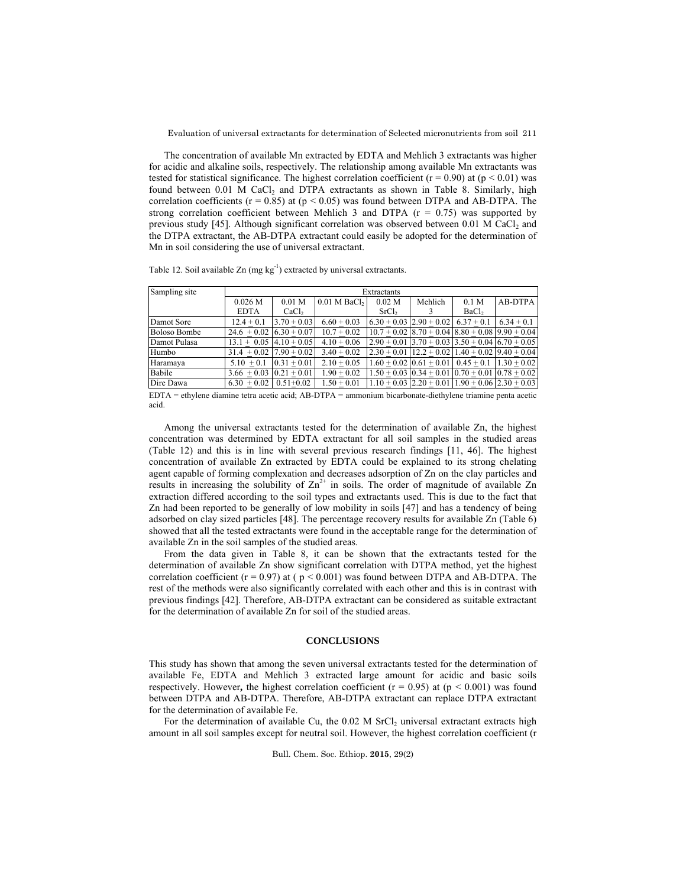The concentration of available Mn extracted by EDTA and Mehlich 3 extractants was higher for acidic and alkaline soils, respectively. The relationship among available Mn extractants was tested for statistical significance. The highest correlation coefficient ( $r = 0.90$ ) at ( $p < 0.01$ ) was found between 0.01 M CaCl<sub>2</sub> and DTPA extractants as shown in Table 8. Similarly, high correlation coefficients ( $r = 0.85$ ) at ( $p < 0.05$ ) was found between DTPA and AB-DTPA. The strong correlation coefficient between Mehlich 3 and DTPA  $(r = 0.75)$  was supported by previous study  $[45]$ . Although significant correlation was observed between 0.01 M CaCl<sub>2</sub> and the DTPA extractant, the AB-DTPA extractant could easily be adopted for the determination of Mn in soil considering the use of universal extractant.

Table 12. Soil available  $Zn$  (mg kg<sup>-1</sup>) extracted by universal extractants.

| Sampling site       |                               | Extractants       |                            |                                                         |         |                                                                       |              |  |  |
|---------------------|-------------------------------|-------------------|----------------------------|---------------------------------------------------------|---------|-----------------------------------------------------------------------|--------------|--|--|
|                     | $0.026$ M                     | 0.01 <sub>M</sub> | $0.01$ M BaCl <sub>2</sub> | 0.02 <sub>M</sub>                                       | Mehlich | 0.1 <sub>M</sub>                                                      | AB-DTPA      |  |  |
|                     | <b>EDTA</b>                   | CaCl <sub>2</sub> |                            | SrCl <sub>2</sub>                                       |         | BaCl <sub>2</sub>                                                     |              |  |  |
| Damot Sore          | $12.4 + 0.1$                  | $3.70 + 0.03$     | $6.60 + 0.03$              | $6.30 + 0.03$ $\left  2.90 + 0.02 \right $ $6.37 + 0.1$ |         |                                                                       | $6.34 + 0.1$ |  |  |
| <b>Boloso Bombe</b> | $24.6 + 0.02$ 6.30 + 0.07     |                   | $10.7 + 0.02$              |                                                         |         | $10.7 + 0.02$ 8.70 + 0.04 8.80 + 0.08 9.90 + 0.04                     |              |  |  |
| Damot Pulasa        | $13.1 + 0.05$ 4.10 + 0.05     |                   | $4.10 + 0.06$              |                                                         |         | $2.90 + 0.01$ 3.70 + 0.03 3.50 + 0.04 6.70 + 0.05                     |              |  |  |
| Humbo               | $31.4 + 0.02$   $7.90 + 0.02$ |                   | $3.40 + 0.02$              | $2.30 + 0.01$   12.2 + 0.02   1.40 + 0.02   9.40 + 0.04 |         |                                                                       |              |  |  |
| Haramaya            | $5.10 + 0.1$                  | $0.31 + 0.01$     | $2.10 + 0.05$              |                                                         |         | $1.60 + 0.02 \mid 0.61 + 0.01 \mid 0.45 + 0.1 \mid 1.30 + 0.02 \mid$  |              |  |  |
| Babile              | $3.66 + 0.03   0.21 + 0.01$   |                   | $1.90 + 0.02$              |                                                         |         | $1.50 + 0.03 \mid 0.34 + 0.01 \mid 0.70 + 0.01 \mid 0.78 + 0.02 \mid$ |              |  |  |
| Dire Dawa           | $6.30 + 0.02$                 | $0.51 + 0.02$     | $1.50 + 0.01$              |                                                         |         | $1.10 + 0.03$   $2.20 + 0.01$   $1.90 + 0.06$   $2.30 + 0.03$         |              |  |  |
|                     |                               |                   |                            |                                                         |         |                                                                       |              |  |  |

EDTA = ethylene diamine tetra acetic acid; AB-DTPA = ammonium bicarbonate-diethylene triamine penta acetic acid.

 Among the universal extractants tested for the determination of available Zn, the highest concentration was determined by EDTA extractant for all soil samples in the studied areas (Table 12) and this is in line with several previous research findings [11, 46]. The highest concentration of available Zn extracted by EDTA could be explained to its strong chelating agent capable of forming complexation and decreases adsorption of Zn on the clay particles and results in increasing the solubility of  $\text{Zn}^{2+}$  in soils. The order of magnitude of available  $\text{Zn}$ extraction differed according to the soil types and extractants used. This is due to the fact that Zn had been reported to be generally of low mobility in soils [47] and has a tendency of being adsorbed on clay sized particles [48]. The percentage recovery results for available  $Zn$  (Table 6) showed that all the tested extractants were found in the acceptable range for the determination of available Zn in the soil samples of the studied areas.

From the data given in Table 8, it can be shown that the extractants tested for the determination of available Zn show significant correlation with DTPA method, yet the highest correlation coefficient ( $r = 0.97$ ) at ( $p < 0.001$ ) was found between DTPA and AB-DTPA. The rest of the methods were also significantly correlated with each other and this is in contrast with previous findings [42]. Therefore, AB-DTPA extractant can be considered as suitable extractant for the determination of available Zn for soil of the studied areas.

### **CONCLUSIONS**

This study has shown that among the seven universal extractants tested for the determination of available Fe, EDTA and Mehlich 3 extracted large amount for acidic and basic soils respectively. However, the highest correlation coefficient ( $r = 0.95$ ) at ( $p < 0.001$ ) was found between DTPA and AB-DTPA. Therefore, AB-DTPA extractant can replace DTPA extractant for the determination of available Fe.

For the determination of available Cu, the  $0.02$  M SrCl<sub>2</sub> universal extractant extracts high amount in all soil samples except for neutral soil. However, the highest correlation coefficient (r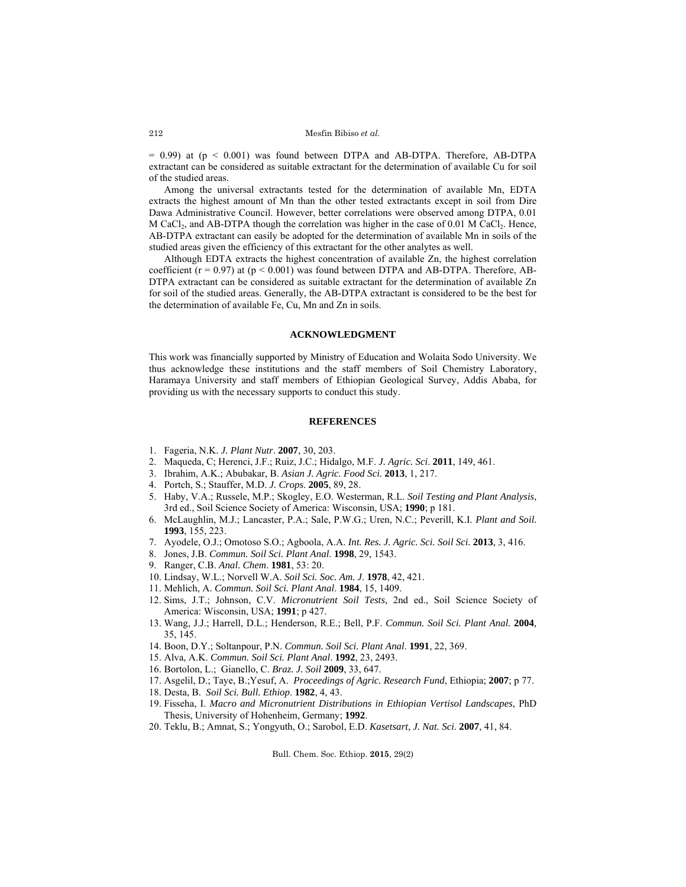$= 0.99$ ) at (p  $\le 0.001$ ) was found between DTPA and AB-DTPA. Therefore, AB-DTPA extractant can be considered as suitable extractant for the determination of available Cu for soil of the studied areas.

Among the universal extractants tested for the determination of available Mn, EDTA extracts the highest amount of Mn than the other tested extractants except in soil from Dire Dawa Administrative Council. However, better correlations were observed among DTPA, 0.01 M CaCl<sub>2</sub>, and AB-DTPA though the correlation was higher in the case of 0.01 M CaCl<sub>2</sub>. Hence, AB-DTPA extractant can easily be adopted for the determination of available Mn in soils of the studied areas given the efficiency of this extractant for the other analytes as well.

Although EDTA extracts the highest concentration of available Zn, the highest correlation coefficient ( $r = 0.97$ ) at ( $p < 0.001$ ) was found between DTPA and AB-DTPA. Therefore, AB-DTPA extractant can be considered as suitable extractant for the determination of available Zn for soil of the studied areas. Generally, the AB-DTPA extractant is considered to be the best for the determination of available Fe, Cu, Mn and Zn in soils.

### **ACKNOWLEDGMENT**

This work was financially supported by Ministry of Education and Wolaita Sodo University. We thus acknowledge these institutions and the staff members of Soil Chemistry Laboratory, Haramaya University and staff members of Ethiopian Geological Survey, Addis Ababa, for providing us with the necessary supports to conduct this study.

### **REFERENCES**

- 1. Fageria, N.K. *J. Plant Nutr*. **2007**, 30, 203.
- 2. Maqueda, C; Herenci, J.F.; Ruiz, J.C.; Hidalgo, M.F. *J. Agric. Sci*. **2011**, 149, 461.
- 3. Ibrahim, A.K.; Abubakar, B. *Asian J. Agric. Food Sci.* **2013**, 1, 217.
- 4. Portch, S.; Stauffer, M.D. *J. Crops*. **2005**, 89, 28.
- 5. Haby, V.A.; Russele, M.P.; Skogley, E.O. Westerman, R.L. *Soil Testing and Plant Analysis*, 3rd ed., Soil Science Society of America: Wisconsin, USA; **1990**; p 181.
- 6. McLaughlin, M.J.; Lancaster, P.A.; Sale, P.W.G.; Uren, N.C.; Peverill, K.I. *Plant and Soil.*  **1993**, 155, 223.
- 7. Ayodele, O.J.; Omotoso S.O.; Agboola, A.A. *Int. Res. J. Agric. Sci. Soil Sci.* **2013**, 3, 416.
- 8. Jones, J.B. *Commun. Soil Sci. Plant Anal*. **1998**, 29, 1543.
- 9. Ranger, C.B. *Anal. Chem*. **1981**, 53: 20.
- 10. Lindsay, W.L.; Norvell W.A. *Soil Sci. Soc. Am. J*. **1978**, 42, 421.
- 11. Mehlich, A. *Commun. Soil Sci. Plant Anal*. **1984**, 15, 1409.
- 12. Sims, J.T.; Johnson, C.V. *Micronutrient Soil Tests*, 2nd ed., Soil Science Society of America: Wisconsin, USA; **1991**; p 427.
- 13. Wang, J.J.; Harrell, D.L.; Henderson, R.E.; Bell, P.F. *Commun. Soil Sci. Plant Anal.* **2004***,*  35, 145.
- 14. Boon, D.Y.; Soltanpour, P.N. *Commun. Soil Sci. Plant Anal*. **1991**, 22, 369.
- 15. Alva, A.K. *Commun. Soil Sci. Plant Anal*. **1992**, 23, 2493.
- 16. Bortolon, L.; Gianello, C. *Braz. J. Soil* **2009**, 33, 647.
- 17. Asgelil, D.; Taye, B.;Yesuf, A. *Proceedings of Agric. Research Fund*, Ethiopia; **2007**; p 77.
- 18. Desta, B. *Soil Sci. Bull. Ethiop*. **1982**, 4, 43.
- 19. Fisseha, I. *Macro and Micronutrient Distributions in Ethiopian Vertisol Landscapes*, PhD Thesis, University of Hohenheim, Germany; **1992**.
- 20. Teklu, B.; Amnat, S.; Yongyuth, O.; Sarobol, E.D. *Kasetsart*, *J. Nat. Sci*. **2007**, 41, 84.